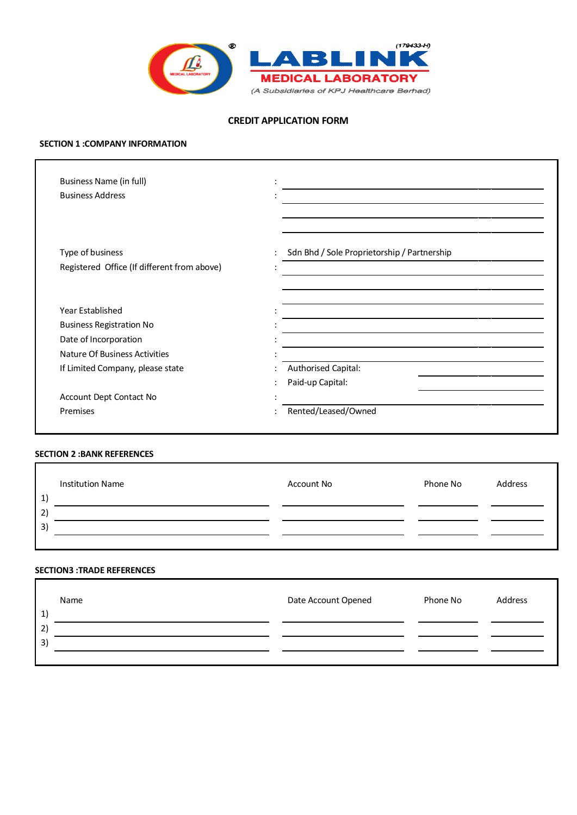

# **CREDIT APPLICATION FORM**

#### **SECTION 1 :COMPANY INFORMATION**

| <b>Business Name (in full)</b>              |                                             |
|---------------------------------------------|---------------------------------------------|
| <b>Business Address</b>                     |                                             |
|                                             |                                             |
| Type of business                            | Sdn Bhd / Sole Proprietorship / Partnership |
| Registered Office (If different from above) |                                             |
|                                             |                                             |
| Year Established                            |                                             |
| <b>Business Registration No</b>             |                                             |
| Date of Incorporation                       |                                             |
| Nature Of Business Activities               |                                             |
| If Limited Company, please state            | Authorised Capital:                         |
|                                             | Paid-up Capital:                            |
| Account Dept Contact No                     |                                             |
| Premises                                    | Rented/Leased/Owned                         |

### **SECTION 2 :BANK REFERENCES**

| <b>Institution Name</b><br>$\mathbf{1}$ | Account No | Phone No | Address |
|-----------------------------------------|------------|----------|---------|
| 2)                                      |            |          |         |
| 3)                                      |            |          |         |
|                                         |            |          |         |

#### **SECTION3 :TRADE REFERENCES**

| Name<br>$\mathbf{1}$ | Date Account Opened | Phone No | Address |
|----------------------|---------------------|----------|---------|
| 2)                   |                     |          |         |
| 3)                   |                     |          |         |
|                      |                     |          |         |